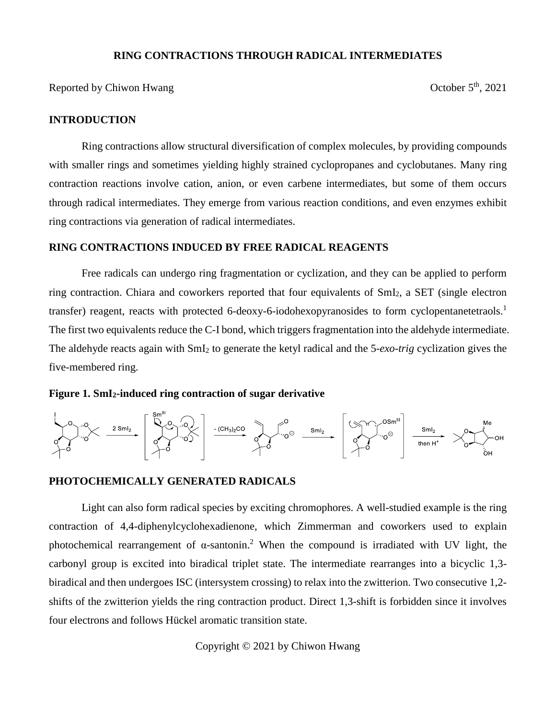#### **RING CONTRACTIONS THROUGH RADICAL INTERMEDIATES**

Reported by Chiwon Hwang  $\qquad \qquad$  October  $5<sup>th</sup>$ , 2021

### **INTRODUCTION**

Ring contractions allow structural diversification of complex molecules, by providing compounds with smaller rings and sometimes yielding highly strained cyclopropanes and cyclobutanes. Many ring contraction reactions involve cation, anion, or even carbene intermediates, but some of them occurs through radical intermediates. They emerge from various reaction conditions, and even enzymes exhibit ring contractions via generation of radical intermediates.

#### **RING CONTRACTIONS INDUCED BY FREE RADICAL REAGENTS**

Free radicals can undergo ring fragmentation or cyclization, and they can be applied to perform ring contraction. Chiara and coworkers reported that four equivalents of SmI2, a SET (single electron transfer) reagent, reacts with protected 6-deoxy-6-iodohexopyranosides to form cyclopentanetetraols.<sup>1</sup> The first two equivalents reduce the C-I bond, which triggers fragmentation into the aldehyde intermediate. The aldehyde reacts again with SmI<sup>2</sup> to generate the ketyl radical and the 5*-exo-trig* cyclization gives the five-membered ring.

**Figure 1. SmI2-induced ring contraction of sugar derivative**



# **PHOTOCHEMICALLY GENERATED RADICALS**

Light can also form radical species by exciting chromophores. A well-studied example is the ring contraction of 4,4-diphenylcyclohexadienone, which Zimmerman and coworkers used to explain photochemical rearrangement of  $\alpha$ -santonin.<sup>2</sup> When the compound is irradiated with UV light, the carbonyl group is excited into biradical triplet state. The intermediate rearranges into a bicyclic 1,3 biradical and then undergoes ISC (intersystem crossing) to relax into the zwitterion. Two consecutive 1,2 shifts of the zwitterion yields the ring contraction product. Direct 1,3-shift is forbidden since it involves four electrons and follows Hückel aromatic transition state.

Copyright © 2021 by Chiwon Hwang